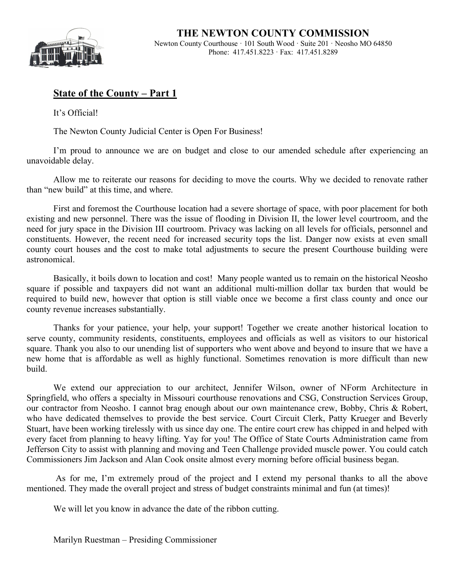

## **State of the County – Part 1**

It's Official!

The Newton County Judicial Center is Open For Business!

I'm proud to announce we are on budget and close to our amended schedule after experiencing an unavoidable delay.

Allow me to reiterate our reasons for deciding to move the courts. Why we decided to renovate rather than "new build" at this time, and where.

First and foremost the Courthouse location had a severe shortage of space, with poor placement for both existing and new personnel. There was the issue of flooding in Division II, the lower level courtroom, and the need for jury space in the Division III courtroom. Privacy was lacking on all levels for officials, personnel and constituents. However, the recent need for increased security tops the list. Danger now exists at even small county court houses and the cost to make total adjustments to secure the present Courthouse building were astronomical.

Basically, it boils down to location and cost! Many people wanted us to remain on the historical Neosho square if possible and taxpayers did not want an additional multi-million dollar tax burden that would be required to build new, however that option is still viable once we become a first class county and once our county revenue increases substantially.

Thanks for your patience, your help, your support! Together we create another historical location to serve county, community residents, constituents, employees and officials as well as visitors to our historical square. Thank you also to our unending list of supporters who went above and beyond to insure that we have a new home that is affordable as well as highly functional. Sometimes renovation is more difficult than new build.

We extend our appreciation to our architect, Jennifer Wilson, owner of NForm Architecture in Springfield, who offers a specialty in Missouri courthouse renovations and CSG, Construction Services Group, our contractor from Neosho. I cannot brag enough about our own maintenance crew, Bobby, Chris & Robert, who have dedicated themselves to provide the best service. Court Circuit Clerk, Patty Krueger and Beverly Stuart, have been working tirelessly with us since day one. The entire court crew has chipped in and helped with every facet from planning to heavy lifting. Yay for you! The Office of State Courts Administration came from Jefferson City to assist with planning and moving and Teen Challenge provided muscle power. You could catch Commissioners Jim Jackson and Alan Cook onsite almost every morning before official business began.

As for me, I'm extremely proud of the project and I extend my personal thanks to all the above mentioned. They made the overall project and stress of budget constraints minimal and fun (at times)!

We will let you know in advance the date of the ribbon cutting.

Marilyn Ruestman – Presiding Commissioner